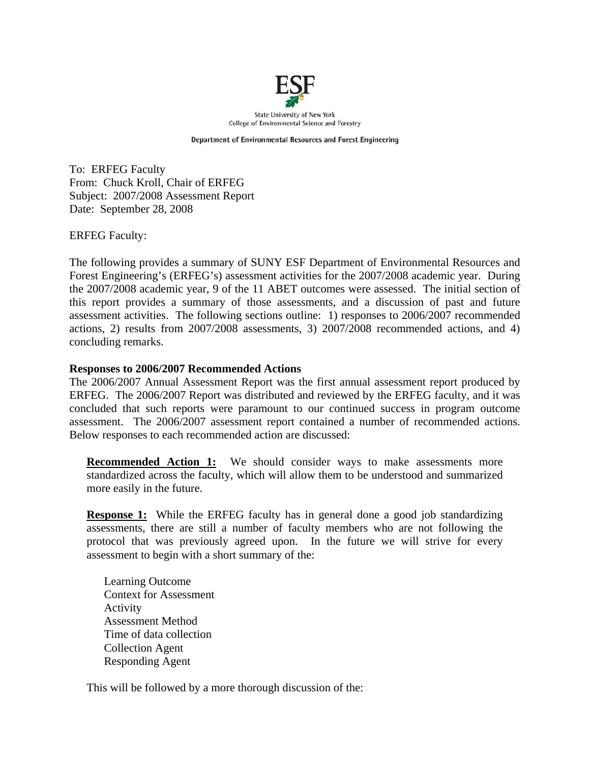

**State University of New York** College of Environmental Science and Forestry

Department of Environmental Resources and Forest Engineering

To: ERFEG Faculty From: Chuck Kroll, Chair of ERFEG Subject: 2007/2008 Assessment Report Date: September 28, 2008

ERFEG Faculty:

The following provides a summary of SUNY ESF Department of Environmental Resources and Forest Engineering's (ERFEG's) assessment activities for the 2007/2008 academic year. During the 2007/2008 academic year, 9 of the 11 ABET outcomes were assessed. The initial section of this report provides a summary of those assessments, and a discussion of past and future assessment activities. The following sections outline: 1) responses to 2006/2007 recommended actions, 2) results from 2007/2008 assessments, 3) 2007/2008 recommended actions, and 4) concluding remarks.

#### **Responses to 2006/2007 Recommended Actions**

The 2006/2007 Annual Assessment Report was the first annual assessment report produced by ERFEG. The 2006/2007 Report was distributed and reviewed by the ERFEG faculty, and it was concluded that such reports were paramount to our continued success in program outcome assessment. The 2006/2007 assessment report contained a number of recommended actions. Below responses to each recommended action are discussed:

**Recommended Action 1:** We should consider ways to make assessments more standardized across the faculty, which will allow them to be understood and summarized more easily in the future.

**Response 1:** While the ERFEG faculty has in general done a good job standardizing assessments, there are still a number of faculty members who are not following the protocol that was previously agreed upon. In the future we will strive for every assessment to begin with a short summary of the:

Learning Outcome Context for Assessment Activity Assessment Method Time of data collection Collection Agent Responding Agent

This will be followed by a more thorough discussion of the: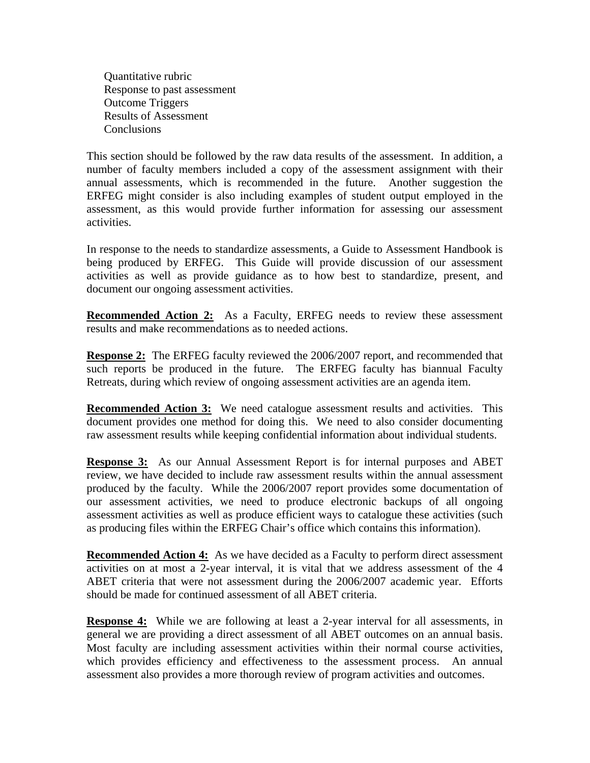Quantitative rubric Response to past assessment Outcome Triggers Results of Assessment **Conclusions** 

This section should be followed by the raw data results of the assessment. In addition, a number of faculty members included a copy of the assessment assignment with their annual assessments, which is recommended in the future. Another suggestion the ERFEG might consider is also including examples of student output employed in the assessment, as this would provide further information for assessing our assessment activities.

In response to the needs to standardize assessments, a Guide to Assessment Handbook is being produced by ERFEG. This Guide will provide discussion of our assessment activities as well as provide guidance as to how best to standardize, present, and document our ongoing assessment activities.

**Recommended Action 2:** As a Faculty, ERFEG needs to review these assessment results and make recommendations as to needed actions.

**Response 2:** The ERFEG faculty reviewed the 2006/2007 report, and recommended that such reports be produced in the future. The ERFEG faculty has biannual Faculty Retreats, during which review of ongoing assessment activities are an agenda item.

**Recommended Action 3:** We need catalogue assessment results and activities. This document provides one method for doing this. We need to also consider documenting raw assessment results while keeping confidential information about individual students.

**Response 3:** As our Annual Assessment Report is for internal purposes and ABET review, we have decided to include raw assessment results within the annual assessment produced by the faculty. While the 2006/2007 report provides some documentation of our assessment activities, we need to produce electronic backups of all ongoing assessment activities as well as produce efficient ways to catalogue these activities (such as producing files within the ERFEG Chair's office which contains this information).

**Recommended Action 4:** As we have decided as a Faculty to perform direct assessment activities on at most a 2-year interval, it is vital that we address assessment of the 4 ABET criteria that were not assessment during the 2006/2007 academic year. Efforts should be made for continued assessment of all ABET criteria.

**Response 4:** While we are following at least a 2-year interval for all assessments, in general we are providing a direct assessment of all ABET outcomes on an annual basis. Most faculty are including assessment activities within their normal course activities, which provides efficiency and effectiveness to the assessment process. An annual assessment also provides a more thorough review of program activities and outcomes.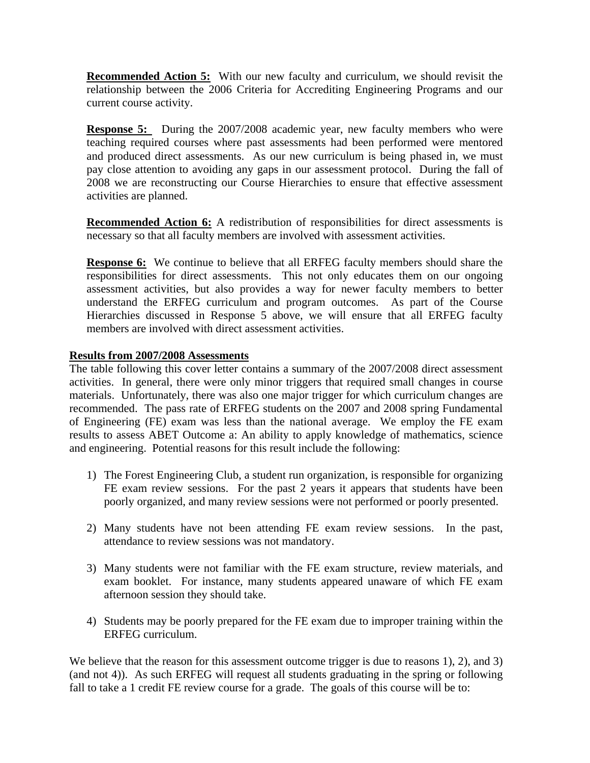**Recommended Action 5:** With our new faculty and curriculum, we should revisit the relationship between the 2006 Criteria for Accrediting Engineering Programs and our current course activity.

**Response 5:** During the 2007/2008 academic year, new faculty members who were teaching required courses where past assessments had been performed were mentored and produced direct assessments. As our new curriculum is being phased in, we must pay close attention to avoiding any gaps in our assessment protocol. During the fall of 2008 we are reconstructing our Course Hierarchies to ensure that effective assessment activities are planned.

**Recommended Action 6:** A redistribution of responsibilities for direct assessments is necessary so that all faculty members are involved with assessment activities.

**Response 6:** We continue to believe that all ERFEG faculty members should share the responsibilities for direct assessments. This not only educates them on our ongoing assessment activities, but also provides a way for newer faculty members to better understand the ERFEG curriculum and program outcomes. As part of the Course Hierarchies discussed in Response 5 above, we will ensure that all ERFEG faculty members are involved with direct assessment activities.

### **Results from 2007/2008 Assessments**

The table following this cover letter contains a summary of the 2007/2008 direct assessment activities. In general, there were only minor triggers that required small changes in course materials. Unfortunately, there was also one major trigger for which curriculum changes are recommended. The pass rate of ERFEG students on the 2007 and 2008 spring Fundamental of Engineering (FE) exam was less than the national average. We employ the FE exam results to assess ABET Outcome a: An ability to apply knowledge of mathematics, science and engineering. Potential reasons for this result include the following:

- 1) The Forest Engineering Club, a student run organization, is responsible for organizing FE exam review sessions. For the past 2 years it appears that students have been poorly organized, and many review sessions were not performed or poorly presented.
- 2) Many students have not been attending FE exam review sessions. In the past, attendance to review sessions was not mandatory.
- 3) Many students were not familiar with the FE exam structure, review materials, and exam booklet. For instance, many students appeared unaware of which FE exam afternoon session they should take.
- 4) Students may be poorly prepared for the FE exam due to improper training within the ERFEG curriculum.

We believe that the reason for this assessment outcome trigger is due to reasons 1), 2), and 3) (and not 4)). As such ERFEG will request all students graduating in the spring or following fall to take a 1 credit FE review course for a grade. The goals of this course will be to: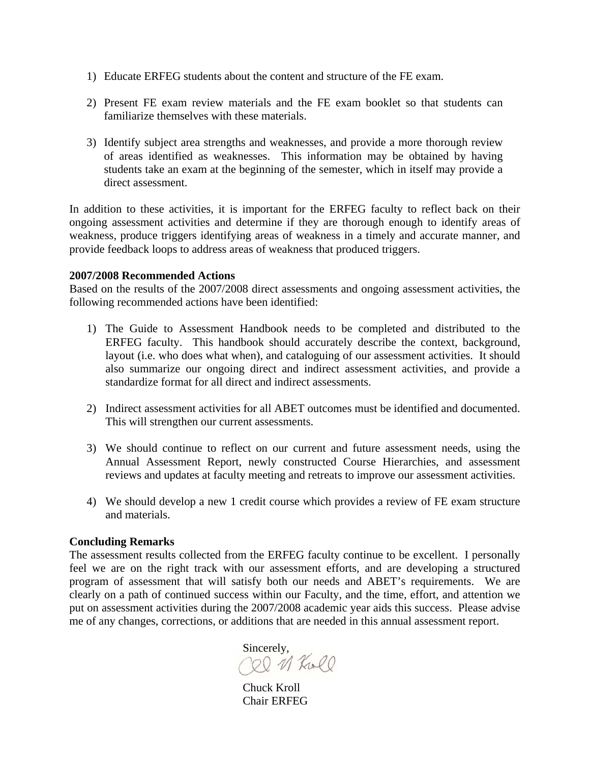- 1) Educate ERFEG students about the content and structure of the FE exam.
- 2) Present FE exam review materials and the FE exam booklet so that students can familiarize themselves with these materials.
- 3) Identify subject area strengths and weaknesses, and provide a more thorough review of areas identified as weaknesses. This information may be obtained by having students take an exam at the beginning of the semester, which in itself may provide a direct assessment.

In addition to these activities, it is important for the ERFEG faculty to reflect back on their ongoing assessment activities and determine if they are thorough enough to identify areas of weakness, produce triggers identifying areas of weakness in a timely and accurate manner, and provide feedback loops to address areas of weakness that produced triggers.

#### **2007/2008 Recommended Actions**

Based on the results of the 2007/2008 direct assessments and ongoing assessment activities, the following recommended actions have been identified:

- 1) The Guide to Assessment Handbook needs to be completed and distributed to the ERFEG faculty. This handbook should accurately describe the context, background, layout (i.e. who does what when), and cataloguing of our assessment activities. It should also summarize our ongoing direct and indirect assessment activities, and provide a standardize format for all direct and indirect assessments.
- 2) Indirect assessment activities for all ABET outcomes must be identified and documented. This will strengthen our current assessments.
- 3) We should continue to reflect on our current and future assessment needs, using the Annual Assessment Report, newly constructed Course Hierarchies, and assessment reviews and updates at faculty meeting and retreats to improve our assessment activities.
- 4) We should develop a new 1 credit course which provides a review of FE exam structure and materials.

#### **Concluding Remarks**

The assessment results collected from the ERFEG faculty continue to be excellent. I personally feel we are on the right track with our assessment efforts, and are developing a structured program of assessment that will satisfy both our needs and ABET's requirements. We are clearly on a path of continued success within our Faculty, and the time, effort, and attention we put on assessment activities during the 2007/2008 academic year aids this success. Please advise me of any changes, corrections, or additions that are needed in this annual assessment report.

Sincerely,<br>CQ 11 KwCl

 Chuck Kroll Chair ERFEG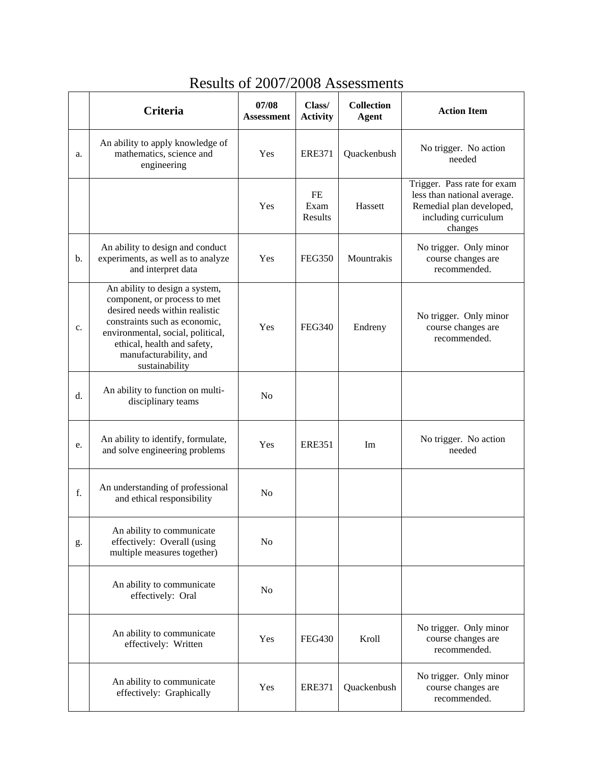|    | Criteria                                                                                                                                                                                                                                          | 07/08<br>Assessment | Class/<br><b>Activity</b> | <b>Collection</b><br><b>Agent</b> | <b>Action Item</b>                                                                                                        |
|----|---------------------------------------------------------------------------------------------------------------------------------------------------------------------------------------------------------------------------------------------------|---------------------|---------------------------|-----------------------------------|---------------------------------------------------------------------------------------------------------------------------|
| a. | An ability to apply knowledge of<br>mathematics, science and<br>engineering                                                                                                                                                                       | Yes                 | <b>ERE371</b>             | Quackenbush                       | No trigger. No action<br>needed                                                                                           |
|    |                                                                                                                                                                                                                                                   | Yes                 | FE<br>Exam<br>Results     | Hassett                           | Trigger. Pass rate for exam<br>less than national average.<br>Remedial plan developed,<br>including curriculum<br>changes |
| b. | An ability to design and conduct<br>experiments, as well as to analyze<br>and interpret data                                                                                                                                                      | Yes                 | <b>FEG350</b>             | Mountrakis                        | No trigger. Only minor<br>course changes are<br>recommended.                                                              |
| c. | An ability to design a system,<br>component, or process to met<br>desired needs within realistic<br>constraints such as economic,<br>environmental, social, political,<br>ethical, health and safety,<br>manufacturability, and<br>sustainability | Yes                 | <b>FEG340</b>             | Endreny                           | No trigger. Only minor<br>course changes are<br>recommended.                                                              |
| d. | An ability to function on multi-<br>disciplinary teams                                                                                                                                                                                            | N <sub>0</sub>      |                           |                                   |                                                                                                                           |
| e. | An ability to identify, formulate,<br>and solve engineering problems                                                                                                                                                                              | Yes                 | <b>ERE351</b>             | Im                                | No trigger. No action<br>needed                                                                                           |
| f. | An understanding of professional<br>and ethical responsibility                                                                                                                                                                                    | No                  |                           |                                   |                                                                                                                           |
| g. | An ability to communicate<br>effectively: Overall (using<br>multiple measures together)                                                                                                                                                           | N <sub>0</sub>      |                           |                                   |                                                                                                                           |
|    | An ability to communicate<br>effectively: Oral                                                                                                                                                                                                    | N <sub>0</sub>      |                           |                                   |                                                                                                                           |
|    | An ability to communicate<br>effectively: Written                                                                                                                                                                                                 | Yes                 | <b>FEG430</b>             | Kroll                             | No trigger. Only minor<br>course changes are<br>recommended.                                                              |
|    | An ability to communicate<br>effectively: Graphically                                                                                                                                                                                             | Yes                 | <b>ERE371</b>             | Quackenbush                       | No trigger. Only minor<br>course changes are<br>recommended.                                                              |

## Results of 2007/2008 Assessments